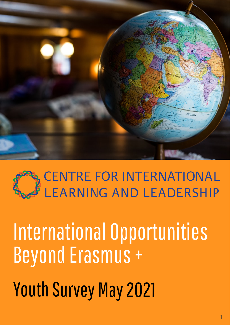

# CENTRE FOR INTERNATIONAL<br>LEARNING AND LEADERSHIP

### International Opportunities Beyond Erasmus +

Youth Survey May 2021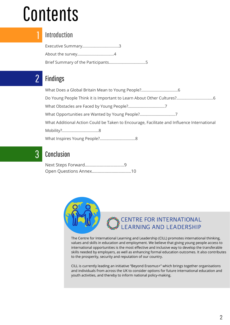### Contents



2

3

#### Introduction

Executive Summary..................................3 About the survey..................................4 Brief Summary of the Participants..................................5

#### Findings

What Does a Global Britain Mean to Young People?..................................6 Do Young People Think it is Important to Learn About Other Cultures?..................................6 What Obstacles are Faced by Young People?..................................7 What Opportunities are Wanted by Young People?................................7 What Additional Action Could be Taken to Encourage, Facilitate and Influence International Mobility?..................................8 What Inspires Young People?.................................8

#### Conclusion



### **S** CENTRE FOR INTERNATIONAL<br>F LEARNING AND LEADERSHIP

The Centre for International Learning and Leadership (CILL) promotes international thinking, values and skills in education and employment. We believe that giving young people access to international opportunities is the most effective and inclusive way to develop the transferable skills needed by employers, as well as enhancing formal education outcomes. It also contributes to the prosperity, security and reputation of our country.

CILL is currently leading an initiative "Beyond Erasmus+" which brings together organisations and individuals from across the UK to consider options for future international education and youth activities, and thereby to inform national policy-making.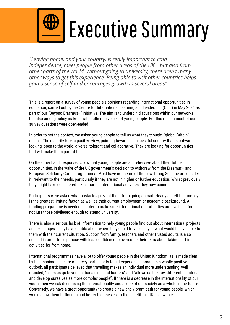

### Executive Summary

*"Leaving home, and your country, is really important to gain independence, meet people from other areas of the UK… but also from other parts of the world. Without going to university, there aren't many other ways to get this experience. Being able to visit other countries helps gain a sense of self and encourages growth in several areas"*

This is a report on a survey of young people's opinions regarding international opportunities in education, carried out by the Centre for International Learning and Leadership (CILL) in May 2021 as part of our "Beyond Erasmus+" initiative. The aim is to underpin discussions within our networks, but also among policy-makers, with authentic voices of young people. For this reason most of our survey questions were open-ended.

In order to set the context, we asked young people to tell us what they thought "global Britain" means. The majority took a positive view, pointing towards a successful country that is outwardlooking, open to the world, diverse, tolerant and collaborative. They are looking for opportunities that will make them part of this.

On the other hand, responses show that young people are apprehensive about their future opportunities, in the wake of the UK government's decision to withdraw from the Erasmus+ and European Solidarity Corps programmes. Most have not heard of the new Turing Scheme or consider it irrelevant to their needs, particularly if they are not in higher or further education. Whilst previously they might have considered taking part in international activities, they now cannot.

Participants were asked what obstacles prevent them from going abroad. Nearly all felt that money is the greatest limiting factor, as well as their current employment or academic background. A funding programme is needed in order to make sure international opportunities are available for all, not just those privileged enough to attend university.

There is also a serious lack of information to help young people find out about international projects and exchanges. They have doubts about where they could travel easily or what would be available to them with their current situation. Support from family, teachers and other trusted adults is also needed in order to help those with less confidence to overcome their fears about taking part in activities far from home.

International programmes have a lot to offer young people in the United Kingdom, as is made clear by the unanimous desire of survey participants to get experience abroad. In a wholly positive outlook, all participants believed that travelling makes an individual more understanding, well rounded, "helps us go beyond nationalisms and borders" and "allows us to know different countries and develop ourselves as more complex people". If there is a decrease in the internationality of our youth, then we risk decreasing the internationality and scope of our society as a whole in the future. Conversely, we have a great opportunity to create a new and vibrant path for young people, which would allow them to flourish and better themselves, to the benefit the UK as a whole.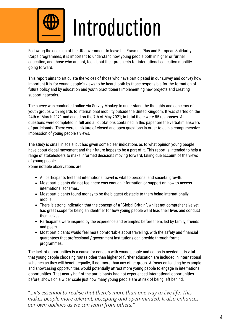

### Introduction

Following the decision of the UK government to leave the Erasmus Plus and European Solidarity Corps programmes, it is important to understand how young people both in higher or further education, and those who are not, feel about their prospects for international education mobility going forward.

This report aims to articulate the voices of those who have participated in our survey and convey how important it is for young people's views to be heard, both by those responsible for the formation of future policy and by education and youth practitioners implementing new projects and creating support networks.

The survey was conducted online via Survey Monkey to understand the thoughts and concerns of youth groups with regards to international mobility outside the United Kingdom. It was started on the 24th of March 2021 and ended on the 7th of May 2021; in total there were 85 responses. All questions were completed in full and all quotations contained in this paper are the verbatim answers of participants. There were a mixture of closed and open questions in order to gain a comprehensive impression of young people's views.

The study is small in scale, but has given some clear indications as to what opinion young people have about global movement and their future hopes to be a part of it. This report is intended to help a range of stakeholders to make informed decisions moving forward, taking due account of the views of young people.

Some notable observations are:

- All participants feel that international travel is vital to personal and societal growth.
- Most participants did not feel there was enough information or support on how to access international schemes.
- Most participants found money to be the biggest obstacle to them being internationally mobile.
- There is strong indication that the concept of a "Global Britain", whilst not comprehensive yet, has great scope for being an identifier for how young people want lead their lives and conduct themselves.
- Participants were inspired by the experience and examples before them, led by family, friends and peers.
- Most participants would feel more comfortable about travelling, with the safety and financial guarantees that professional / government institutions can provide through formal programmes.

The lack of opportunities is a cause for concern with young people and action is needed. It is vital that young people choosing routes other than higher or further education are included in international schemes as they will benefit equally, if not more than any other group. A focus on leading by example and showcasing opportunities would potentially attract more young people to engage in international opportunities. That nearly half of the participants had not experienced international opportunities before, shows on a wider scale just how many young people are at risk of being left behind.

*"...it's essential to realise that there's more than one way to live life. This makes people more tolerant, accepting and open-minded. It also enhances our own abilities as we can learn from others."*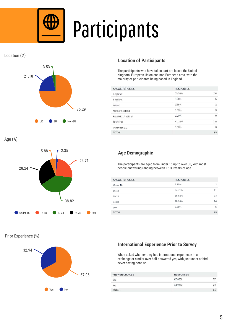

## Participants





Age (%)



#### Prior Experience (%)



#### **Location of Participants**

The participants who have taken part are based the United Kingdom, European Union and non-European area, with the majority of participants being based in England.

| <b>ANSWER CHOICES</b> | <b>RESPONSES</b> |                         |
|-----------------------|------------------|-------------------------|
| England               | 63.53%           | 54                      |
| Scotland              | 5.88%            | 5                       |
| Wales                 | 2.35%            | $\overline{2}$          |
| Northern Ireland      | 3.53%            | 3                       |
| Republic of Ireland   | 0.00%            | $^{\circ}$              |
| Other EU              | 21.18%           | 18                      |
| Other non-EU          | 3.53%            | $\overline{\mathbf{3}}$ |
| <b>TOTAL</b>          |                  | 85                      |

#### **Age Demographic**

The participants are aged from under 16 up to over 30, with most people answering ranging between 16-30 years of age.

| ANSWER CHOICES | <b>RESPONSES</b> |                |
|----------------|------------------|----------------|
| Under 16       | 2.35%            | $\overline{2}$ |
| 16-18          | 24.71%           | 21             |
| 19-23          | 38.82%           | 33             |
| 24-30          | 28.24%           | 24             |
| $30+$          | 5.88%            | 5              |
| <b>TOTAL</b>   |                  | 85             |

#### **International Experience Prior to Survey**

When asked whether they had international experience in an exchange or similar over half answered yes, with just under a third never having done so.

| <b>ANSWER CHOICES</b> | <b>RESPONSES</b> |     |
|-----------------------|------------------|-----|
| Yes                   | 67.06%           |     |
| No                    | 32.94%           | 28  |
| TOTAL                 |                  | RF. |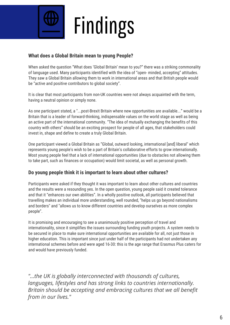

## Findings

#### **What does a Global Britain mean to young People?**

When asked the question "What does 'Global Britain' mean to you?" there was a striking commonality of language used. Many participants identified with the idea of "open- minded, accepting" attitudes. They saw a Global Britain allowing them to work in international areas and that British people would be "active and positive contributors to global society".

It is clear that most participants from non-UK countries were not always acquainted with the term, having a neutral opinion or simply none.

As one participant stated, a "...post-Brexit Britain where new opportunities are available..." would be a Britain that is a leader of forward-thinking, indispensable values on the world stage as well as being an active part of the international community. "The idea of mutually exchanging the benefits of this country with others" should be an exciting prospect for people of all ages, that stakeholders could invest in, shape and define to create a truly Global Britain.

One participant viewed a Global Britain as "Global, outward looking, international [and] liberal" which represents young people's wish to be a part of Britain's collaborative efforts to grow internationally. Most young people feel that a lack of international opportunities (due to obstacles not allowing them to take part, such as finances or occupation) would limit societal, as well as personal growth.

#### **Do young people think it is important to learn about other cultures?**

Participants were asked if they thought it was important to learn about other cultures and countries and the results were a resounding yes. In the open question, young people said it created tolerance and that it "enhances our own abilities". In a wholly positive outlook, all participants believed that travelling makes an individual more understanding, well rounded, "helps us go beyond nationalisms and borders" and "allows us to know different countries and develop ourselves as more complex people".

It is promising and encouraging to see a unanimously positive perception of travel and internationality, since it simplifies the issues surrounding funding youth projects. A system needs to be secured in place to make sure international opportunities are available for all, not just those in higher education. This is important since just under half of the participants had not undertaken any international schemes before and were aged 16-30: this is the age range that Erasmus Plus caters for and would have previously funded.

*"...the UK is globally interconnected with thousands of cultures, languages, lifestyles and has strong links to countries internationally. Britain should be accepting and embracing cultures that we all benefit from in our lives."*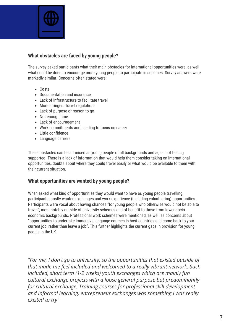

#### **What obstacles are faced by young people?**

The survey asked participants what their main obstacles for international opportunities were, as well what could be done to encourage more young people to participate in schemes. Survey answers were markedly similar. Concerns often stated were:

- Costs
- Documentation and insurance
- Lack of infrastructure to facilitate travel
- More stringent travel regulations
- Lack of purpose or reason to go
- Not enough time
- Lack of encouragement
- Work commitments and needing to focus on career
- Little confidence
- Language barriers

These obstacles can be surmised as young people of all backgrounds and ages not feeling supported. There is a lack of information that would help them consider taking on international opportunities, doubts about where they could travel easily or what would be available to them with their current situation.

#### **What opportunities are wanted by young people?**

When asked what kind of opportunities they would want to have as young people travelling, participants mostly wanted exchanges and work experience (including volunteering) opportunities. Participants were vocal about having chances "for young people who otherwise would not be able to travel", most notably outside of university schemes and of benefit to those from lower socioeconomic backgrounds. Professional work schemes were mentioned, as well as concerns about "opportunities to undertake immersive language courses in host countries and come back to your current job, rather than leave a job". This further highlights the current gaps in provision for young people in the UK.

*"For me, I don't go to university, so the opportunities that existed outside of that made me feel included and welcomed to a really vibrant network. Such included, short term (1-2 weeks) youth exchanges which are mainly fun cultural exchange projects with a loose general purpose but predominantly for cultural exchange. Training courses for professional skill development and informal learning, entrepreneur exchanges was something I was really excited to try"*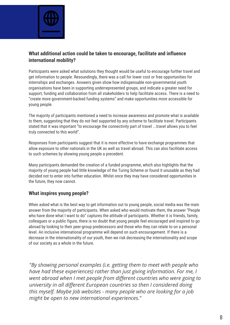

#### **What additional action could be taken to encourage, facilitate and influence international mobility?**

Participants were asked what solutions they thought would be useful to encourage further travel and get information to people. Resoundingly, there was a call for lower cost or free opportunities for internships and exchanges. Answers given show how indispensable non-governmental youth organisations have been in supporting underrepresented groups, and indicate a greater need for support, funding and collaboration from all stakeholders to help facilitate access. There is a need to "create more government-backed funding systems" and make opportunities more accessible for young people.

The majority of participants mentioned a need to increase awareness and promote what is available to them, suggesting that they do not feel supported by any scheme to facilitate travel. Participants stated that it was important "to encourage the connectivity part of travel ...travel allows you to feel truly connected to this world".

Responses from participants suggest that it is more effective to have exchange programmes that allow exposure to other nationals in the UK as well as travel abroad. This can also facilitate access to such schemes by showing young people a precedent.

Many participants demanded the creation of a funded programme, which also highlights that the majority of young people had little knowledge of the Turing Scheme or found it unusable as they had decided not to enter into further education. Whilst once they may have considered opportunities in the future, they now cannot.

#### **What inspires young people?**

When asked what is the best way to get information out to young people, social media was the main answer from the majority of participants. When asked who would motivate them, the answer "People who have done what I want to do" captures the attitude of participants. Whether it is friends, family, colleagues or a public figure, there is no doubt that young people feel encouraged and inspired to go abroad by looking to their peer-group predecessors and those who they can relate to on a personal level. An inclusive international programme will depend on such encouragement. If there is a decrease in the internationality of our youth, then we risk decreasing the internationality and scope of our society as a whole in the future.

*"By showing personal examples (i.e. getting them to meet with people who have had these experiences) rather than just giving information. For me, I went abroad when I met people from different countries who were going to university in all different European countries so then I considered doing this myself. Maybe Job websites - many people who are looking for a job might be open to new international experiences."*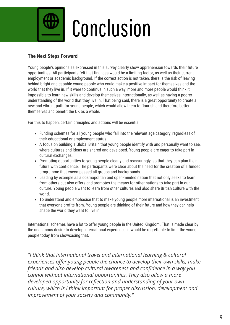

### Conclusion

#### **The Next Steps Forward**

Young people's opinions as expressed in this survey clearly show apprehension towards their future opportunities. All participants felt that finances would be a limiting factor, as well as their current employment or academic background. If the correct action is not taken, there is the risk of leaving behind bright and capable young people who could make a positive impact for themselves and the world that they live in. If it were to continue in such a way, more and more people would think it impossible to learn new skills and develop themselves internationally, as well as having a poorer understanding of the world that they live in. That being said, there is a great opportunity to create a new and vibrant path for young people, which would allow them to flourish and therefore better themselves and benefit the UK as a whole.

For this to happen, certain principles and actions will be essential:

- Funding schemes for all young people who fall into the relevant age category, regardless of their educational or employment status.
- A focus on building a Global Britain that young people identify with and personally want to see, where cultures and ideas are shared and developed. Young people are eager to take part in cultural exchanges.
- Promoting opportunities to young people clearly and reassuringly, so that they can plan their future with confidence. The participants were clear about the need for the creation of a funded programme that encompassed all groups and backgrounds.
- Leading by example as a cosmopolitan and open-minded nation that not only seeks to learn from others but also offers and promotes the means for other nations to take part in our culture. Young people want to learn from other cultures and also share British culture with the world.
- To understand and emphasise that to make young people more international is an investment that everyone profits from. Young people are thinking of their future and how they can help shape the world they want to live in.

International schemes have a lot to offer young people in the United Kingdom. That is made clear by the unanimous desire to develop international experience; it would be regrettable to limit the young people today from showcasing that.

*"I think that international travel and international learning & cultural experiences offer young people the chance to develop their own skills, make friends and also develop cultural awareness and confidence in a way you cannot without international opportunities. They also allow a more developed opportunity for reflection and understanding of your own culture, which is I think important for proper discussion, development and improvement of your society and community."*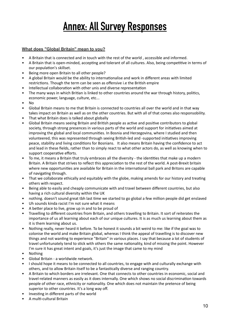### **Annex: All Survey Responses**

#### **What does "Global Britain" mean to you?**

- A Britain that is connected and in touch with the rest of the world , accessible and informed.
- A Britain that is open-minded, accepting and tolerant of all cultures. Also, being competitive in terms of our population's skillset.
- Being more open Britain to all other people?
- A global Britain would be the ability to internationalise and work in different areas with limited restrictions. Though the term can be seen as offensive i.e the British empire
- Intellectual collaboration with other unis and diverse representation
- The many ways in which Britian is linked to other countries around the war through history, politics, economic power, language, culture, etc...
- No
- Global Britain means to me that Britain is connected to countries all over the world and in that way takes impact on Britain as well as on the other countries. But with all of that comes also responsobility.
- That what Britain does is talked about globally
- Global Britain means seeing Britain and British people as active and positive contributors to global society, through strong presences in various parts of the world and support for initiatives aimed at improving the global and local communities. In Bosnia and Herzegovina, where I studied and then volunteered, this was represented through seeing British-led and -supported initiatives improving peace, stability and living conditions for Bosnians. It also means Britain having the confidence to act and lead in these fields, rather than to simply react to what other actors do, as well as knowing when to support cooperative efforts.
- To me, it means a Britain that truly embraces all the diversity the identities that make up a modern Britain. A Britain that strives to reflect this appreciation to the rest of the world. A post-Brexit britain where new opportunities are available for Britain in the international ball park and Britons are capable of navigating through.
- That we collaborate ethically and equitably with the globe, making amends for our history and treating others with respect.
- Being able to easily and cheaply communicate with and travel between different countries, but also having a rich cultural diversity within the UK
- nothing. doesn't sound great tbh last time we started to go global a few million people did get enslaved
- Uh sounds kinda racist I'm not sure what it means
- A better place to live, grow up in and to be proud of
- Travelling to different countries from Britain, and others travelling to Britain. It sort of reiterates the importance of us all learning about each of our unique cultures. It is as much us learning about them as it is them learning about us.
- Nothing really, never heard it before. To be honest it sounds a bit weird to me: like if the goal was to colonise the world and make Britain global, whereas I think the appeal of travelling is to discover new things and not wanting to experience "Britain" in various places. I say that because a lot of students of travel unfortunately tend to stick with others the same nationality, kind of missing the point. However I'm sure it has great intent and goals, it's just the image that came to my mind
- Nothing
- Global Britain a worldwide network.
- I should hope it means to be connected to all countries, to engage with and culturally exchange with others, and to allow Britain itself to be a fantastically diverse and ranging country.
- A Britain to which borders are irrelevant. One that connects to other countries in economic, social and travel-related manners as easily as it does internally. One which shows no social discrimination towards people of other race, ethnicity or nationality. One which does not maintain the pretence of being superior to other countries. It's a long way off.
- Investing in different parts of the world
- A multi-cultural Britain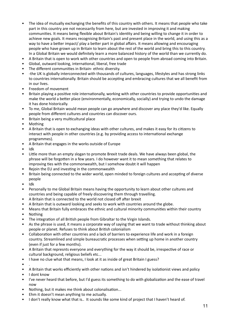- The idea of mutually exchanging the benefits of this country with others. It means that people who take part in this country are not necessarily from here, but are invested in improving it and making communities. It means being flexible about Britain's identity and being willing to change it in order to achieve new goals. It means recognising Britain's past and present place in the world, and using this as a way to have a better impact/ play a better part in global affairs. It means allowing and encouraging people who have grown up in Britain to learn about the rest of the world and bring this to this country. In a Global Britain we would definitely learn a more balanced history of the world than we currently do.
- A Britain that is open to work with other countries and open to people from abroad coming into Britain.
- Global, outward looking, international, liberal, free trade
- The different communities in Britain- ethnic diversity.
- -the UK is globally interconnected with thousands of cultures, languages, lifestyles and has strong links to countries internationally. Britain should be accepting and embracing cultures that we all benefit from in our lives.
- Freedom of movement
- Britain playing a positive role internationally, working with other countries to provide opportunities and make the world a better place (environmentally, economically, socially) and trying to undo the damage it has done historically.
- To me, Global Britain would mean people can go anywhere and discover any place they'd like. Equally people from different cultures and countries can discover ours.
- Britain being a very multicultural place
- Mothing
- A Britain that is open to exchanging ideas with other cultures, and makes it easy for its citizens to interact with people in other countries (e.g. by providing access to international exchange programmes).
- A Britain that engages in the works outside of Europe
- Idk
- Little more than an empty slogan to promote Brexit trade deals. We have always been global, the phrase will be forgotten in a few years. I do however want it to mean something that relates to improving ties with the commonwealth, but I somehow doubt it will happen
- Rejoin the EU and investing in the commonwealth
- Britain being connected to the wider world, open minded to foreign cultures and accepting of diverse people
- Idk
- Personally to me Global Britain means having the opportunity to learn about other cultures and countries and being capable of freely discovering them through travelling.
- A Britain that is connected to the world not closed off after brexit
- A Britain that is outward looking and seeks to work with countries around the globe.
- Means that Britain fully embraces the ethnic and cultural minority communities within their country
- Nothing
- The integration of all British people from Gibraltar to the Virgin Islands.
- As the phrase is used, it means a corporate way of saying that we want to trade without thinking about people or planet. Refuses to think about British colonialism
- Collaboration with other countries and a lack of barriers to experience life and work in a foreign country. Streamlined and simple bureaucratic processes when setting up home in another country (even if just for a few months).
- A Britain that represnts everyone and everything for the way it should be, irrespective of race or cultural background, religious beliefs etc...
- I have no clue what that means, I look at it as inside of great Britain I guess?
- .
- A Britain that works efficiently with other nations and isn't hindered by isolationist views and policy
- I dont know
- I've never heard that before, but I'd guess its something to do with globalization and the ease of travel now
- Nothing, but it makes me think about colonalisation...
- Ehm it doesn't mean anything to me actually.
- I don't really know what that is.. It sounds like some kind of project that I haven't heard of.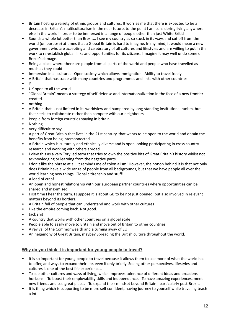- Britain hosting a variety of ethnic groups and cultures. It worries me that there is expected to be a decrease in Britain's multiculturalism in the near future, to the point I am considering living anywhere else in the world in order to be immersed in a range of people other than just White British.
- Sounds a whole lot better than Brexit... I see my country as so stuck in its ways and cut off from the world (on purpose) at times that a Global Britain is hard to imagine. In my mind, it would mean a new government who are accepting and celebratory of all cultures and lifestyles and are willing to put in the work to re-establish global links and opportunities for its citizens. I imagine it may well undo some of Brexit's damage.
- Being a place where there are people from all parts of the world and people who have travelled as much as they could
- Immersion in all cultures Open society which allows immigration Ability to travel freely
- A Britain that has trade with many countries and programmes and links with other countries.
- ?
- UK open to all the world
- "Global Britain" means a strategy of self-defense and internationalization in the face of a new frontier created.
- nothing
- A Britain that is not limited in its worldview and hampered by long-standing institutional racism, but that seeks to collaborate rather than compete with our neighbours.
- People from foreign countries staying in britain
- Nothing
- Very difficult to say.
- A part of Great Britain that lives in the 21st century, that wants to be open to the world and obtain the benefits from being interconnected.
- A Britain which is culturally and ethnically diverse and is open looking participating in cross country research and working with others abroad.
- I view this as a very Tory led term that tries to own the positive bits of Great Britain's history whilst not acknowledging or learning from the negative parts.
- I don't like the phrase at all, it reminds me of colonialism! However, the notion behind it is that not only does Britain have a wide range of people from all backgrounds, but that we have people all over the world learning new things. Global citizenship and stuff!
- A load of crap!
- An open and honest relationship with our european partner countries where opportunities can be shared and maximised
- First time I hear the term. I suppose it is about GB to be not just opened, but also involved in relevant matters beyond its borders.
- A Britain full of people that can understand and work with other cultures
- Like the empire coming back. Not good.
- Jack shit
- A country that works with other countries on a global scale
- People able to easily move to Britain and move out of Britain to other countries
- A revival of the Commonwealth and a turning away of EU
- An hegemony of Great Britain, maybe? Spreading the British culture throughout the world.

#### **Why do you think it is important for young people to travel?**

- It is so important for young people to travel because it allows them to see more of what the world has to offer, and ways to expand their life, even if only briefly. Seeing other perspectives, lifestyles and cultures is one of the best life experiences.
- To see other cultures and ways of living, which improves tolerance of different ideas and broadens horizons. To boost their employability skills and independence. To have amazing experiences, meet new friends and see great places! To expand their mindset beyond Britain - particularly post-Brexit.
- It is thing which is supporting to be more self confident, having journey to yourself while traveling teach a lot.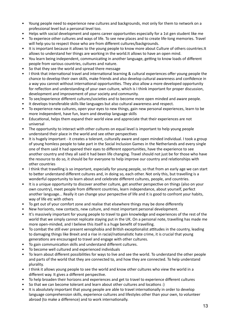- Young people need to experience new cultures and backgrounds, mot only for them to network on a professional level but a personal level too.
- Helps with social development and opens career opportunties especially for a 1st gen student like me
- To experiece other cultures and ways of life. To see new places and to create life-long memories. Travel will help you to respect those who are from different cultures/backgrounds.
- It is important because it allows to the young people to know more about Culture of others countries.It allows to understand her things are working in the world.It allows to have an open mind.
- You learn being independent, communicating in another language, getting to know loads of different people from various countries, cultures and nature.
- So that they see the world and spread there message
- I think that international travel and international learning & cultural experiences offer young people the chance to develop their own skills, make friends and also develop cultural awareness and confidence in a way you cannot without international opportunities. They also allow a more developed opportunity for reflection and understanding of your own culture, which is I think important for proper discussion, development and improvement of your society and community.
- To see/experience different cultures/societies and to become more open minded and aware people.
- It develops transferable skills like languages but also cultural awareness and respect.
- To experience new cultures, open your eyes to new things, gain new personal experiences, learn to be more independent, have fun, learn and develop language skills
- Educational, helps them expand their world view and appreciate that their experiences are not universal
- The opportunity to interact with other cultures on equal level is important to help young people understand their place in the world and see other perspectives
- It is hugely important it creates a tolerant, culturally aware and open minded individual. I took a group of young homless people to take part in the Social Inclusion Games in the Netherlands and every single one of them said it had opened their eyes to different opportunities, have the experience to see another country and they all said it had been life changing. Travel should not just be for those who have the resource to do so, it should be for everyone to help improve our country and relationships with other countries
- I think that travelling is so important, especially for young people, so that from an early age we can start to better understand different cultures and, in doing so, each other. Not only this, but travelling is a wonderful opportunity to learn about and celebrate different cultures, people, and countries.
- It is a unique opportunity to discover another culture, get another perspective on things (also on your own country), meet people from different countries, learn independance, about yourself, perfect another language... Really it can change your perspective of life and it is good to confront your habits, way of life etc with others
- To get out of your comfort zone and realise that elsewhere things may be done differently
- New horisonts, new contacts, new culture, and most important personal development.
- It's massively important for young people to travel to gain knowledge and experiences of the rest of the world that we simply cannot replicate staying put in the UK. On a personal note, travelling has made me more open-minded, and I believe this itself is a huge benefit of travelling.
- To combat the still ever present xenophobia and British exceptionalist attitudes in the country, leading to damaging things like Brexit and a rise in racial/nationalistic hate crime, it is crucial that young generations are encouraged to travel and engage with other cultures.
- To gain communication skills and understand different cultures.
- To become well cultured and experienced individuals
- To learn about different possibilities for ways to live and see the world. To understand the other people and parts of the world that they are connected to, and how they are connected. To help understand plurality.
- I think it allows young people to see the world and know other cultures who view the world in a different way. It gives a different perspective.
- To help broaden their horizons and experiences and get to travel to experience different cultures
- So that we can become tolerant and learn about other cultures and locations :)
- It is absolutely important that young people are able to travel internationally in order to develop language comprehension skills, experience cultures and lifestyles other than your own, to volunteer abroad (to make a difference) and to work internationally.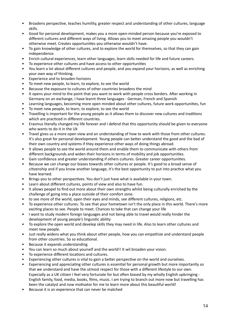- Broadens perspective, teaches humility, greater respect and understanding of other cultures, language skills.
- Good for personal development, makes you a more open-minded person because you're exposed to different cultures and different ways of living. Allows you to meet amazing people you wouldn't otherwise meet. Creates opportunities you otherwise wouldn't have.
- To gain knowledge of other cultures, and to explore the world for themselves, so that they can gain independence.
- Enrich cultural experiences, learn other languages, learn skills needed for life and future careers.
- To experience other cultures and have access to other opportunities
- You learn a lot about different cultures and people, and you expand your horizons, as well as enriching your own way of thinking.
- Experience and to broaden horizons
- To meet new people, to learn, to explore, to see the world
- Because the exposure to cultures of other countries broadens the mind
- It opens your mind to the point that you want to work with people cross borders. After working in Germany on an exchange, I have learnt three languages - German, French and Spanish
- Learning languages, becoming more open minded about other cultures, future work opportunities, fun
- To meet new people, to learn, to explore, to see the world
- Travelling is important for the young people as it allows them to discover new cultures and traditions which are practiced in different countries.
- Erasmus literally changed my life forever and I defend that this opportunity should be given to everyone who wants to do it in the Uk
- Travel gives us a more open view and an understanding of how to work with those from other cultures. It's also great for personal development. Young people can better understand the good and the bad of their own country and systems if they experience other ways of doing things abroad.
- It allows people to see the world around them and enable them to communicate with others from different backgrounds and widen their horizons in terms of mobility and job opportunities.
- Gain confidence and greater understanding if others cultures. Greater career opportunities.
- Because we can change our biases towards other cultures or people. It's good to a broad sense of citizenship and if you know another language, it's the best opportunity to put into practice what you have learned.
- Brings you to other perspectives. You don't just have what is available in your town.
- Learn about different cultures, points of view and also to have fun.
- It allows peopel to find out more about their own strengths whilst being culturally enriched by the challenge of going into a place outside of their comfort zone.
- to see more of the world, open their eyes and minds, see different cultures, religions, etc.
- To experience other cultures. To see that your hometown isn't the only place in this world. There's more exciting places to see. People to meet. Chances to take that can change your life
- I want to study modern foreign languages and not being able to travel would really hinder the development of young people's linguistic ability
- To explore the open world and develep skills they may need in life. Also to learn other cultures and meet new people.
- Just really widens what you think about other people, how you can empathize and understand people from other countries. So so educational.
- Because it expands understanding
- You can learn so much about yourself and the world!! It wil broaden your vision.
- To experience different locations and cultures.
- Experiencing other cultures is vital to gain a better perspective on the world and ourselves.
- Experiencing and appreciating other cultures is essential for personal growth but more importantly so that we understand and have the utmost respect for those with a different lifestyle to our own. Especially as a UK citizen I feel very fortunate for but often biased by my wholly English upbringing - English family, food, media, books, films, music. I am trying to branch out more now but travelling has been the catalyst and now motivator for me to learn more about this beautiful world!
- Because it is an experience that can never be matched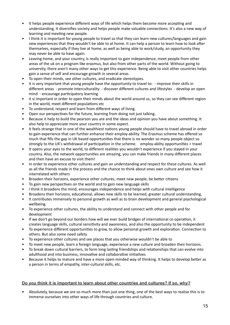- It helps people experience different ways of life which helps them become more accepting and understanding. It diversifies society and helps people make valuable connections. It's also a new way of learning and meeting new people.
- I think it is important for young people to travel so that they can learn new cultures/languages and gain new experiences that they wouldn't be able to at home. It can help a person to learn how to look after themselves, especially if they live at home, as well as being able to work/study, an opportunity they may never be able to have again.
- Leaving home, and your country, is really important to gain independence, meet people from other areas of the uk on a program like erasmus, but also from other parts of the world. Without going to university, there aren't many other ways to get this experience. Being able to visit other countries helps gain a sense of self and encourage growth in several areas
- To open their minds, see other cultures, and eradicate stereotypes.
- It is very important that young people have the opportunity to travel to: improve their skills in different areas - promote interculturality - discover different cultures and lifestyles - develop an open mind - encourage participatory learning
- it si important in order to open their minds about the world around us, so they can see different region in the world, meet different populations etc
- To understand, respect and learn from different ways of living.
- Open our perspectives for the future, learning from doing not just talking.
- Because it help to build the pearson you are and the ideas and opinion you have about something. It also help to appreciate more your country in some aspect.
- It feels strange that in one of the wealthiest nations young people should have to travel abroad in order to gain experience that can further enhance their employ-ability. The Erasmus scheme has offered so much that fills the gap in UK based opportunities that there is no wonder so many people object so strongly to the UK's withdrawal of participation in the scheme. employ-ablity opportunities > travel
- It opens your eyes to the world, to different realities you wouldn't experience if you stayed in your country. Also, the network opportunities are amazing, you can make friends in many different places and then have an excuse to visit them!
- In order to experience other cultures and gain an understanding and respect for these cultures. As well as all the friends made in the process and the chance to think about ones own culture and see how it interrelated with others
- Broaden their horizons, experience other cultures, meet new people, be better citizens
- To gain new perspectives on the world and to gain new language skills
- I think it broadens the mind, encourages independence and helps with cultural intelligence
- Broadens their horizons, educational, allows new skills to be learned, greater cultural understanding,
- It contributes immensely to personal growth as well as to brain development and general psychological wellbeing.
- To experience other cultures, the ability to understand and connect with other people and for development
- If we don't go beyond our borders how will we ever build bridges of international co operation, it creates language skills, cultural sensitivity and awareness, and also the opportunity to be independent
- To experience different opportunities to grow, to allow personal growth and exploration. Connection to others. But also some need safety
- To experience other cultures and see places that you otherwise wouldn't be able to
- To meet new people, learn a foreign language, experience a new culture and broaden their horizons.
- To break down cultural barriers, to form long lasting friendships and relationships that can evolve into adulthood and into business, innovative and collaborative initiatives
- Because it helps to mature and have a more open-minded way of thinking. It helps to develop better as a person in terms of empathy, inter-cultural skills, etc.

#### **Do you think it is important to learn about other countries and cultures? If so, why?**

• Absolutely, because we are so much more than just one thing, one of the best ways to realise this is to immerse ourselves into other ways of life through countries and culture.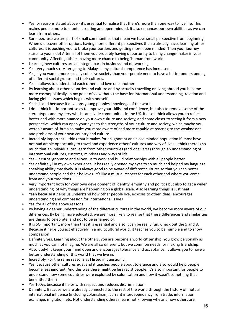- Yes for reasons stated above it's essential to realise that there's more than one way to live life. This makes people more tolerant, accepting and open-minded. It also enhances our own abilities as we can learn from others.
- Sure, because we are part of small communities that mean we have small perspective from beginning. When u discover other options having more different perspectives than u already have, learning other cultures, it is pushing you to broke your borders and getting more open minded. Then your journey starts to your side! After all of them you probably having opportunity to being change-maker in your community. Affecting others, having more chance to being 'human from world'
- Learning new cultures are an integral part in business and networking
- Yes! Very much so After going to Malaysia my cultural competence has increased.
- Yes, If you want a more socially cohesive society than your people need to have a better understanding of different social groups and their cultures.
- Yes. It allows to understand each other and love one another
- By learning about other countries and culture and by actually travelling or living abroad you become more cosmopolitically. In my point of view that's the base for international understanding, relation and facing global issues which begins with oneself.
- Yes it is and because it develops young peoples knowledge of the world
- I do. I think it is important so as to improve your skills and confidence, but also to remove some of the stereotypes and mystery which can divide communities in the UK. It also I think allows you to reflect better and with more nuance on your own culture and society, and come closer to seeing it from a new perspective, which can open your eyes to the strengths of your culture and society, which maybe you weren't aware of, but also make you more aware of and more capable at reacting to the weaknesses and problems of your own country and culture.
- Incredibly important! I think that it makes for an ignorant and close minded population if most have not had ample opportunity to travel and experience others' cultures and way of lives. I think there is so much that an individual can learn from other countries (and vice versa) through an understanding of international cultures, customs, mindsets and ways of life.
- Yes it curbs ignorance and allows us to work and build relationships with all people better
- Yes definitely! In my own experience, it has really opened my eyes to so much and helped my language speaking ability massively. It is always good to be aware of different cultures so that you can better understand people and their believes- it's like a mutual respect for each other and where you come from and your traditions
- Very important both for your own development of identity, empathy and politics but also to get a wider understanding of why things are happening on a global scale. Also learning things is just neat.
- Yeah because it helps us understand how other people live, exposes to other ideas, encourages understanding and compassion for international issues
- Yes, for all of the above reasons
- By having a deeper understanding of the different cultures in the world, we become more aware of our differences. By being more educated, we are more likely to realise that these differences and similarities are things to celebrate, and not to be ashamed of.
- It is SO important, more than that it is essential and also it can be really fun. Check out the 5 and 8.
- Because it helps you act effectively in a multicultural world, it teaches you to be humble and to show compassion
- Definitely yes. Learning about the others, you are become a world citizenship. You grow personally as much as you can not imagine. We are all so different, but we common needs for making friendship.
- Absolutely! It keeps your mind open and encourages tolerance and acceptance. It allows you to have a better understanding of this world that we live in.
- Incredibly. For the same reasons as I listed in question 5.
- Yes, because other cultures exist and it teaches people about tolerance and also would help people become less ignorant. And this was there might be less racist people. It's also important for people to understand how some countries were exploited by colonisation and how it wasn't something that benefitted them
- Yes 100%, because it helps with respect and reduces discrimination
- Definitely. Because we are already connected to the rest of the world through the history of mutual international influence (including colonialism), current interdependency from trade, information exchange, migration, etc. Not understanding others means not knowing why and how others are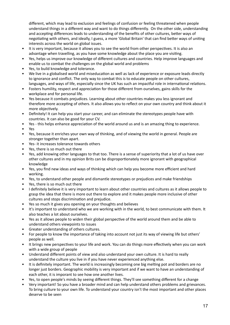different, which may lead to exclusion and feelings of confusion or feeling threatened when people understand things in a different way and want to do things differently. On the other side, understanding and accepting differences leads to understanding of the benefits of other cultures, better ways of negotiating with others, and ideally, I guess, a more 'Global Britain' that can find better ways of uniting interests across the world on global issues.

- It is very important, because it allows you to see the world from other perspectives. It is also an advantage when travelling, as you have some knowledge about the place you are visiting.
- Yes, helps us improve our knowledge of different cultures and countries. Help improve languages and enable us to combat the challenges on the global world and problems
- Yes, to build knowledge and tolerance.
- We live in a globalised world and miseducation as well as lack of experience or exposure leads directly to ignorance and conflict. The only way to combat this is to educate people on other cultures, languages, and ways of life, especially since the UK has such an impactful role in international relations.
- Fosters humility, respect and appreciation for those different from ourselves, gains skills for the workplace and for personal life.
- Yes because it combats prejudices. Learning about other countries makes you less ignorant and therefore more accepting of others. It also allows you to reflect on your own country and think about it more objectively.
- Definitely! It can help you start your career, and can eliminate the stereotypes people have with countries. It can also be good for your CV.
- Yes this helps enhance appreciation of the world around us and is an amazing thing to experience.
- Yes
- Yes, because it enriches your own way of thinking, and of viewing the world in general. People are stronger together than apart.
- Yes- it increases tolerance towards others
- Yes, there is so much out there
- Yes, add knowing other languages to that too. There is a sense of superiority that a lot of us have over other cultures and in my opinion Brits can be disproportionately more ignorant with geographical knowledge
- Yes, you find new ideas and ways of thinking which can help you become more efficient and hard working.
- Yes, to understand other people and dismantle stereotypes or prejudices and make friendships
- Yes, there is so much out there
- I definitely believe it is very important to learn about other countries and cultures as it allows people to grasp the idea that there is more out there to explore and it makes people more inclusive of other cultures and stops discrimination and prejudice.
- Yes so much it gives you opening on your thoughts and believes
- It's important to understand who we are working with in the world, to best communicate with them. It also teaches a lot about ourselves.
- Yes as it allows people to widen their global perspective of the world around them and be able to understand others viewpoints to issues
- Greater understanding of others cultures.
- For people to know the importance of taking into account not just its way of viewing life but others' people as well.
- It brings new perspectives to your life and work. You can do things more effectively when you can work with a wide group of people
- Understand different points of view and also understand your own culture. It is hard to really understand the culture you live in if you have never experienced anything else.
- It is definitely important. The world is increasingly becoming one big melting pot and borders are no longer just borders. Geographic mobility is very important and if we want to have an understanding of each other, it is imporant to see how one another lives.
- Yes, to open people's minds by seeing different things. They'll see something different for a change
- Very important! So you have a broader mind and can help understand others problems and grievances. To bring culture to your own life. To understand your country isn't the most important and other places deserve to be seen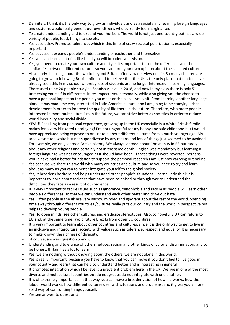- Definitely. I think it's the only way to grow as individuals and as a society and learning foreign languages and customs would really benefit our own citizens who currently feel marginalised
- To create understanding and to expand your horizon. The world is not just one country but has a wide variety of people, food, things to see etc.
- Yes absolutley. Promotes tolerance, which is this time of crazy societal polarization is especially important
- Yes because it expands people's understanding of eachother and themselves
- Yes you can learn a lot of it, like I said you will broaden your vision.
- Yes, you need to create your own culture and style. It's important to see the differences and the similarities between different cultures so you can form your own opinion about the selected culture.
- Absolutely. Learning about the world beyond Britain offers a wider view on life. So many children are going to grow up following Brexit, influenced to believe that the UK is the only place that matters; I've already seen this in my school whereby lots of students are no longer interested in learning languages. There used to be 20 people studying Spanish A-level in 2018, and now in my class there is only 5! Immersing yourself in different cultures impacts you personally, while also giving you the chance to have a personal impact on the people you meet or the places you visit. From learning another language alone, it has made me very interested in Latin America culture, and I am going to be studying urban development in order to improve the quality of life there in the future. Therefore, with more people interested in more multiculturalism in the future, we can strive better as societies in order to reduce world inequality and social divide.
- YES!!!! Speaking from personal experience, growing up in the UK especially in a White British family makes for a very blinkered upbringing! I'm not ungrateful for my happy and safe childhood but I would have appreciated being exposed to or just told about different cultures from a much younger age. My area wasn't too white but not super diverse by any means and lots of things just seemed to be avoided. For example, we only learned British history. We always learned about Christianity in RE but rarely about any other religions and certainly not in the same depth. English was mandatory but learning a foreign language was not encouraged as it should have been. If these things were reversed, perhaps I would have had a better foundation to support the personal research I am just now carrying out online.
- Yes because we share this world with many countries and culture and so you need to try and learn about as many as you can to better integrate yourself to the global society
- Yes, it broadens horizons and helps understand other people's situations. I particularly think it is important to learn about societies that have been colonised or through war to understand the difficulties they face as a result of our violence
- It is very important to tackle issues such as ignorance, xenophobia and racism as people will learn other people's differences, so that we can understand each other better and drive out hate.
- Yes. Often people in the uk are very narrow minded and ignorant about the rest of the world. Spending time away through different countries /cultures really puts our country and the world in perspective but helps to develop young people
- Yes. To open minds, see other cultures, and eradicate stereotypes. Also, to hopefully UK can return to EU and, at the same time, avoid future Brexits from other EU countires.
- It is very important to learn about other countries and cultures, since it is the only way to get to live in an inclusive and intercultural society with values such as tolerance, respect and equality. It is necessary to make known the richness of diversity.
- of course, answers question 5 and 6
- Understanding and tolerance of others reduces racism and other kinds of cultural discrimination, and to be honest, Britain has a lot to learn!
- Yes, we are nothing without knowing about the others, we are not alone in this world.
- Yes is really important, because you have to know that you can move if you don't feel to live good in your country and learn that can help to understand better and is interesting in general
- It promotes integration which I believe is a prevalent problem here in the UK. We live in one of the most diverse and multicultural countries but do not groups do not integrate with one another.
- It is of extremely importance. In that way, you can have a broader vision of how life works, how the labour world works, how different cultures deal with situations and problems, and it gives you a more solid way of confronting things yourself.
- Yes see answer to question 5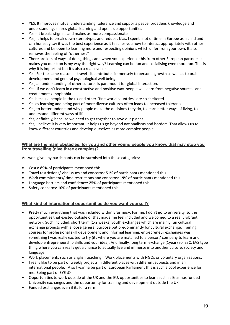- YES. It improves mutual understanding, tolerance and supports peace, broadens knowledge and understanding, shares global learning and opens up opportunities
- Yes it breaks stigmas and makes us more compassionate
- Yes, it helps to break down stereotypes and reduces bias. I spent a lot of time in Europe as a child and can honestly say it was the best experience as it teaches you how to interact appropriately with other cultures and be open to learning more and respecting opinions which differ from your own. It also removes the feeling of "otherness"
- There are lots of ways of doing things and when you experience this from other European partners it makes you question is my way the right way? Learning can be fun and socialising even more fun. This is why it is important but it's also a real leveller.
- Yes. For the same reason as travel It contributes immensely to personal growth as well as to brain development and general psychological well being.
- Yes, an understanding of other cultures is paramount for global interaction.
- Yes! If we don't learn in a constructive and positive way, people will learn from negative sources and create more xenophobia
- Yes because people in the uk and other "first world countries" are so sheltered
- Yes as learning and being part of more diverse cultures often leads to increased tolerance
- Yes, to better understand why people make the decisions they do, to learn better ways of living, to understand different ways of life.
- Yes, definitely, because we need to get together to save our planet.
- Yes, I believe it is very important. It helps us go beyond nationalisms and borders. That allows us to know different countries and develop ourselves as more complex people.

#### **What are the main obstacles, for you and other young people you know, that may stop you from travelling (give three examples)?**

Answers given by participants can be surmised into these categories:

- **•** Costs**: 89%** of participants mentioned this.
- **•** Travel restrictions/ visa issues and concerns: **51%** of participants mentioned this.
- **•** Work commitments/ time restrictions and concerns: **19%** of participants mentioned this.
- **•** Language barriers and confidence: **25%** of participants mentioned this.
- **•** Safety concerns: **10%** of participants mentioned this.

#### **What kind of international opportunities do you want yourself?**

- Pretty much everything that was included within Erasmus+. For me, I don't go to university, so the opportunities that existed outside of that made me feel included and welcomed to a really vibrant network. Such included, short term (1-2 weeks) youth exchanges which are mainly fun cultural exchange projects with a loose general purpose but predominantly for cultural exchange. Training courses for professional skill development and informal learning, entrepreneur exchanges was something I was really excited to try (its where you are matched to a person/ company to learn and develop entrepreneurship skills and your idea). And finally, long term exchange (1year) so, ESC, EVS type thing where you can really get a chance to actually live and immerse into another culture, society and language.
- Work placements such as English teaching. Work placements with NGOs or voluntary organisations.
- I really like to be part of weekly projects in different places with different subjects and in an international people. Also I wanna be part of European Parliament this is such a cool experience for me. Being part of EYE :O
- Opportunities to work outside of the UK and the EU, opportunities to learn such as Erasmus funded University exchanges and the opportunity for training and development outside the UK
- Funded exchanges even if its for a rerm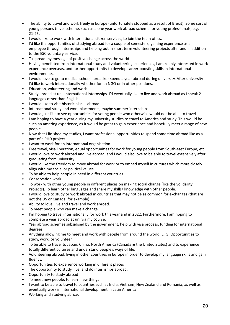- The ability to travel and work freely in Europe (unfortunately stopped as a result of Brexit). Some sort of young persons travel scheme, such as a one year work abroad scheme for young professionals, e.g. 21-25.
- I would like to work with International citizen services, to join the team of Ics.
- I'd like the opportunities of studying abroad for a couple of semesters, gaining experience as a employee through internships and helping out in short term volunteering projects after and in addition to the ESC voluntary service.
- To spread my message of positive change across the world
- Having benefitted from international study and volunteering experiences, I am keenly interested in work experience overseas, and further opportunity to develop career-boosting skills in international environments.
- I would love to go to medical school abroad/or spend a year abroad during university. After university I'd like to work internationally whether for an NGO or in other positions.
- Education, volunteering and work
- Study abroad at uni, international internships, I'd eventually like to live and work abroad as I speak 2 languages other than English
- I would like to visit historic places abroad
- International study and work placements, maybe summer internships
- I would just like to see opportunities for young people who otherwise would not be able to travel
- I am hoping to have a year during my university studies to travel to America and study. This would be such an amazing experience, as it would be great to gain experience and hopefully meet a range of new people.
- Now that I finished my studies, I want professional opportunities to spend some time abroad like as a part of a PHD project.
- I want to work for an international organisation
- Free travel, visa liberation, equal opportunities for work for young people from South-east Europe, etc.
- I would love to work abroad and live abroad, and I would also love to be able to travel extensively after graduating from university.
- I would like the freedom to move abroad for work or to embed myself in cultures which more closely align with my social or political values.
- To be able to help people in need in different countries.
- Conservation work
- To work with other young people in different places on making social change (like the Solidarity Projects). To learn other languages and share my skills/ knowledge with other people.
- I would love to study or work abroad in countries that may not be as common for exchanges (that are not the US or Canada, for example).
- Ability to love, live and travel and work abroad.
- To meet people who can make a change
- I'm hoping to travel internationally for work this year and in 2022. Furthermore, I am hoping to complete a year abroad at uni via my course.
- Year abroad schemes subsidised by the government, help with visa process, funding for international degrees.
- Anything allowing me to meet and work with people from around the world. E. G. Opportunities to study, work, or volunteer
- To be able to travel to Japan, China, North America (Canada & the United States) and to experience totally different cultures and understand people's ways of life.
- Volunteering abroad, living in other countries in Europe in order to develop my language skills and gain fluency.
- Opportunities to experience working in different places
- The opportunity to study, live, and do internships abroad.
- Opportunity to study abroad
- To meet new people, to learn new things
- I want to be able to travel to countries such as India, Vietnam, New Zealand and Romania, as well as eventually work in International development in Latin America
- Working and studying abroad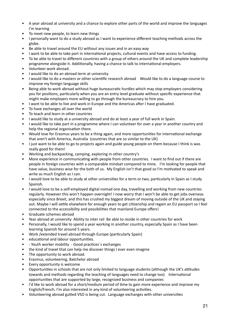- A year abroad at university and a chance to explore other parts of the world and improve the languages I'm learning
- To meet new people, to learn new things
- I personally want to do a study abroad as I want to experience different teaching methods across the globe.
- Be able to travel around the EU without any issues and in an easy way
- I want to be able to take part in international projects, cultural events and have access to funding.
- To be able to travel to different countries with a group of others around the UK and complete leadership programme alongside it. Additionally, having a chance to talk to international employers.
- Volunteer work abroad.
- I would like to do an abroad term at university.
- I would like to do a masters or other scientific research abroad Would like to do a language course to improve my foreign language skills
- Being able to work abroad without huge bureaucratic hurdles which may stop employers considering you for positions, particularly when you are an entry level graduate without specific experience that might make employers more willing to go through the bureaucracy to hire you.
- I want to be able to live and work in Europe and the Americas after I have graduated.
- To have exchanges all over the world
- To teach and learn in other countries
- I would like to study at a university abroad and do at least a year of full work in Spain.
- I would like to take part in a programme where I can volunteer for over a year in another country and help the regional organisation there.
- Would love for Erasmus years to be a thing again, and more opportunities for international exchange that aren't with America, Australia (countries that are so similar to the UK)
- I just want to be able to go to projects again and guide young people on them because I think is was really good for them!
- Working and backpacking, camping, exploring in other country's
- More experience in communicating with people from other countries. I want to find out if there are people in foreign countries with a comparable mindset compared to mine. I'm looking for people that have value, business wise for the both of us. My English isn't that good so I'm motivated to speak and write as much English as I can.
- I would love to be able to study at other universities for a term or two, particularly in Spain as I study Spanish.
- I would love to be a self-employed digital nomad one day, travelling and working from new countries regularly. However this won't happen overnight! I now worry that I won't be able to get jobs overseas especially since Brexit, and this has crushed my biggest dream of moving outside of the UK and staying out. Maybe I will settle elsewhere for enough years to get citizenship and regain an EU passport so I feel connected to the accessibility and possibilities that mainland Europe offers!
- Graduate schemes abroad
- Year abroad at university Ability to inter rail Be able to reside in other countries for work
- Personally, I would like to spend a year working in another country, especially Spain as I have been learning Spanish for around 5 years.
- Work /extended travel abroad through Europe (particularly Spain)
- educational and labour opportunities.
- - Youth worker mobility Good practices´s exchanges
- the kind of travel that can help me discover things I ever even imagine
- The opportunity to work abroad.
- Erasmus, volunteering, Batchelor abroad
- Every opportunity is welcome
- Opportunities in schools that are not only limited to language students (although the UK's attitudes towards and methods regarding the teaching of languages need to change too) International opportunities that are supported by large, recognized business and companies
- I'd like to work abroad for a short/medium period of time to gain more experience and improve my English/French. I'm also interested in any kind of volunteering activities.
- Volunteering abroad gutted VSO is being cut. Language exchanges with other universities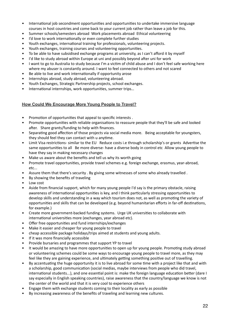- International job secondment opportunities and opportunities to undertake immersive language courses in host countries and come back to your current job rather than leave a job for this.
- Summer schools/semesters abroad Work placements abroad Ethical volunteering
- I'd love to work internationally or even complete further studies
- Youth exchanges, international training for professionals, volunteering projects.
- Youth exchanges, training courses and volunteering opportunities.
- To be able to have subsidised exchange programs at university, as I can't afford it by myself
- I'd like to study abroad within Europe at uni and possibly beyond after uni for work
- I want to go to Australia to study because I'm a victim of child abuse and I don't feel safe working here where my abuser is constantly around. I want to feel connected to others and not scared
- Be able to live and work internationally if opportunity arose
- Internships abroad, study abroad, volunteering abroad.
- Youth Exchanges, Strategic Partnership projects, school exchanges.
- International internships, work opportunities, summer trips…

#### **How Could We Encourage More Young People to Travel?**

- Promotion of opportunities that appeal to specific interests .
- Promote opportunities with reliable organisations to reassure people that they'll be safe and looked after. Share grants/funding to help with finances.
- Separating good affection of those projects via social media more. Being acceptable for youngsters, they should feel they can contact with u anytime.
- Limit Visa restrictions- similar to the EU Reduce costs i.e through scholarship's or grants Advertise the same opportunities to all Be more diverse- have a diverse body in control etc Allow young people to have they say in making necessary changes
- Make us aware about the benefits and tell us why its worth going
- Promote travel opportunities, provide travel schemes e.g. foreign exchange, erasmus, year-abroad, etc...
- Assure them that there's security . By giving some witnesses of some who already travelled .
- By showing the benefits of traveling
- Low cost
- Aside from financial support, which for many young people I'd say is the primary obstacle, raising awareness of international opportunities is key, and I think particularly stressing opportunities to develop skills and understanding in a way which tourism does not, as well as promoting the variety of opportunities and skills that can be developed (e.g. beyond humanitarian efforts in far-off destinations, for example.)
- Create more government-backed funding systems. Urge UK universities to collaborate with international universities more (exchanges, year abroad etc).
- Offer free opportunities and fund internships/exchanges
- Make it easier and cheaper for young people to travel
- cheap accessible package holidays/trips aimed at students and young adults.
- If it was more financially accessible
- Provide bursaries and programmes that support YP to travel
- It would be amazing to have more opportunities to open up for young people. Promoting study abroad or volunteering schemes could be some ways to encourage young people to travel more, as they may feel like they are gaining experience, and ultimately getting something positive out of travelling.
- By accentuating the huge opportunity it is to live abroad for some time with a project like that and with a scholarship, good communication (social medias, maybe interviews from people who did travel, international students...), and one essential point is: make the foreign language education better (dare I say especially in English speaking countries), raise awareness that the country/language we know is not the center of the world and that it is very cool to experience others
- Engage them with exchange students coming to their locality as early as possible
- By increasing awareness of the benefits of traveling and learning new cultures.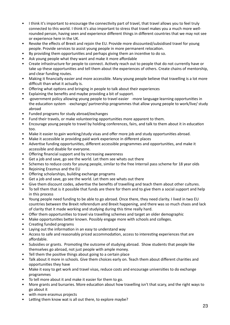- I think it's important to encourage the connectivity part of travel, that travel allows you to feel truly connected to this world. I think it's also important to stress that travel makes you a much more wellrounded person, having seen and experience different things in different countries that we may not see or experience here in the UK.
- Revoke the effects of Brexit and rejoin the EU. Provide more discounted/subsidised travel for young people. Provide services to assist young people in more permanent relocation.
- By providing them opportunities and perhaps giving them an incentive to do so.
- Ask young people what they want and make it more affordable
- Create infrastructure for people to connect. Actively reach out to people that do not currently have or take up these opportunities and tell them about the experiences of others. Create chains of mentorship, and clear funding routes.
- Making it financially easier and more accessible. Many young people believe that travelling is a lot more difficult than what it actually is.
- Offering what options and bringing in people to talk about their experiences
- Explaining the benefits and maybe providing a bit of support.
- -government policy allowing young people to travel easier -more language learning opportunities in the education system -exchange/ partnership programmes that allow young people to work/live/ study abroad
- Funded programs for study abroad/exchanges
- Fund their travels, or make volunteering opportunities more apparent to them.
- Encourage young people to travel by holding conferences, fairs, and talk to them about it in education too.
- Make it easier to gain working/study visas and offer more job and study opportunities abroad.
- Make it accessible ie providing paid work experience in different places
- Advertise funding opportunities, different accessible programmes and opportunities, and make it accessible and doable for everyone.
- Offering financial support and by increasing awareness
- Get a job and save, go see the world. Let them see whats out there
- Schemes to reduce costs for young people, similar to the free Interrail pass scheme for 18 year olds
- Rejoining Erasmus and the EU
- Offering scholarships, building exchange programs
- Get a job and save, go see the world. Let them see whats out there
- Give them discount codes, advertise the benefits of travelling and teach them about other cultures.
- To tell them that is it possible that funds are there for them and to give them a social support and help in this process
- Young people need funding to be able to go abroad. Once there, they need clarity. I lived in two EU countries between the Brexit referendum and Brexit happening, and there was so much chaos and lack of clarity that it made working and studying during this time really hard.
- Offer them opportunities to travel via travelling schemes and target an older demographic
- Make opportunities better known. Possibly engage more with schools and colleges.
- Creating funded programs
- Laying out the information in an easy to understand way
- Access to safe and reasonably priced accommodation, access to interesting experiences that are affordable.
- Subsidies or grants. Promoting the outcome of studying abroad. Show students that people like themselves go abroad, not just people with ample money.
- Tell them the positive things about going to a certain place
- Talk about it more in schools. Give them choices early on. Teach them about different charities and opportunities they have
- Make it easy to get work and travel visas, reduce costs and encourage universities to do exchange programmes
- To tell more about it and make it easier for them to go.
- More grants and bursaries. More education about how travelling isn't that scary, and the right ways to go about it
- with more erasmus projects
- Letting them know wat is all out there, to explore maybe?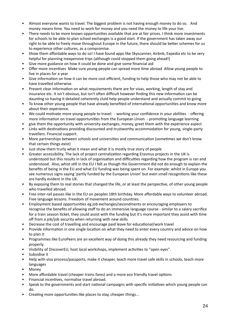- Almost everyone wants to travel. The biggest problem is not having enough money to do so. And money means time. You need to work for money and you need the money to life your live.
- There needs to be more known opportunities available that are at fair prices. I think more investments for schools to be able to plan school exchanges is a good start. If the government has taken away our right to be able to freely move throughout Europe in the future, there should be better schemes for us to experience other cultures, as a compromise.
- Show them affordable ways to do so! I have found apps like Skyscanner, Airbnb, Expedia etc to be very helpful for planning inexpensive trips (although covid stopped them going ahead!)
- Give more guidance on how it could be done and give some financial aid
- Offer more incentives Make sure young people can spread more time abroad Allow young people to live in places for a year
- Give information on how it can be more cost efficient, funding to help those who may not be able to have travelled otherwise.
- Present clear information on what requirements there are for visas, working, length of stay and insurance etc. It isn't obvious, but isn't often difficult however finding this new information can be daunting so having it detailed coherently cluld help people understand and actually commit to going
- To know other young people that have already benefited of international opportunities and know more about their experience.
- We could motivate more young people to travel: working your confidence in your abilities offering more information on travel opportunities from the European Union - promoting language learning
- give them the opportunity with university exchanges, money, greet them with the expérience aspect
- Links with destinations providing discounted and trustworthy accommodation for young, single-party travellers. Financial support.
- More partnerships between schools and universities and communication (sometimes we don't know that certain things exist)
- Just show them trurly what it mean and what it is mostly true story of people
- Greater accessibility. The lack of project centralization regarding Erasmus projects in the UK is understood but this results in lack of organisation and difficulties regarding how the program is ran and understood. Also, whist still in the EU I felt as though the Government did not do enough to explain the benefits of being in the EU and what EU funding was being spent on. For example: whilst in Europe you see numerous signs saying 'partly funded by the European Union' but even small recognitions like these are hardly evident in the UK.
- By exposing them to real stories that changed the life, or at least the perspective, of other young people who travelled abroad.
- Free inter-rail passes like in the EU on peoples 18th birthday. More affordable ways to volunteer abroad. Free language lessons. Freedom of movement around countries.
- Employment based opportunities eg job exchanges/secondments or encouraging employers to recognise the benefits of allowing staff to do an immersive language course - similar to a salary sacrifice for a train season ticket, they could assist with the funding but it's more important they assist with time off from a job/job security when returning with new skills
- Decrease the cost of travelling and encourage paid leave for educational/work travel
- Provide information in one single location on what they need to enter every country and advice on how to plan it
- Programmes like EuroPeers are an excellent way of doing this already they need resourcing and funding properly.
- Visibility of DiscoverEU, host local workshops, implement activities to "open eyes".
- Subsidise it
- Help with visa process/passports, make it cheaper, teach more travel safe skills in schools, teach more languages
- Money
- More affordable travel (cheaper trains fares) and a more eco friendly travel options
- Financial incentives, normalise travel abroad.
- Speak to the governments and start national campaigns with specific initiatives which young people can do.
- Creating more opportunities like places to stay, cheaper things...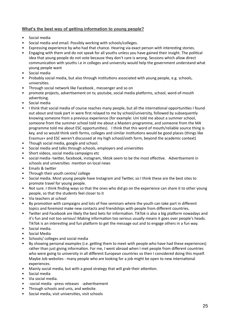#### **What's the best way of getting information to young people?**

- Social media
- Social media and email. Possibly working with schools/colleges.
- Expressing experience by who had that chance. Hearing via exact person with interesting stories.
- Engaging with them and do not speak for all youths unless you have gained their insight. The political idea that young people do not vote because they don't care is wrong. Sessions which allow direct communication with youths i.e in colleges and university would help the government understand what young people want
- Social media
- Probably social media, but also through institutions associated with young people, e.g. schools, universities.
- Through social network like Facebook , messenger and so on
- promote projects, advertisement on tv, youtube, social media platforms, school, word-of-mouth advertising.
- Social media
- I think that social media of course reaches many people, but all the international opportunities I found out about and took part in were first relayed to me by school/university, followed by subsequently knowing someone from a previous experience (for example: Uni told me about a summer school, someone from the summer school told me about a Masters programme, and someone from the MA programme told me about ESC opportunities). I think that this word of mouth/reliable source thing is key, and so would think sixth forms, colleges and similar institutions would be good places (things like Erasmus+ and ESC weren't discussed at my high school/sixth form, beyond the academic context)
- Though social media, google and school.
- Social media and talks through schools, employers and universities
- Short videos, social media campaigns etc
- social media- twitter, facebook, instagram, tiktok seem to be the most effective. Advertisement in schools and universities mention on local news
- Emails & twitter
- Through their youth centre/ college
- Social media. Most young people have Instagram and Twitter, so I think these are the best sites to promote travel for young people.
- Not sure. I think finding ways so that the ones who did go on the experience can share it to other young people, so that the students feel closer to it
- Via teachers at school
- By promotion with campaigns and lots of free seminars where the youth can take part in different topics and foremost make new contacts and friendships with people from different countries.
- Twitter and Facebook are likely the best bets for information. TikTok is also a big platform nowadays and it's fun and not too serious! Making information too serious usually means it goes over people's heads. TikTok is an interesting and fun platform to get the message out and to engage others in a fun way.
- Social media.
- Social Media
- Schools/ colleges and social media
- By showing personal examples (i.e. getting them to meet with people who have had these experiences) rather than just giving information. For me, I went abroad when I met people from different countries who were going to university in all different European countries so then I considered doing this myself. Maybe Job websites - many people who are looking for a job might be open to new international experiences.
- Mainly social media, but with a good strategy that will grab their attention.
- Social media
- Via social media.
- -social media -press releases -advertisement
- Through schools and unis, and website.
- Social media, visit universities, visit schools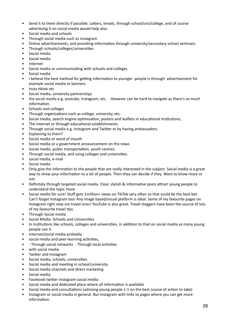- Send it to them directly if possible. Letters, emails, through school/uni/college, and of course advertising it on social media would help also.
- Social media and schools
- Through social media such as instagram
- Online advertisements, and providing information through university/secondary school seminars.
- Through schools/colleges/universities
- Social media
- Social media
- Internet
- Social media or communicating with schools and colleges
- Social media
- I believe the best method for getting information to younger people is through advertisement for example social media or banners.
- Insta tiktok etc
- Social media, university partnerships
- Via social media e.g. youtube, Instagram, etc. However can be hard to navigate as there's so much information.
- Schools and colleges
- Through organisations such as college, university, etc.
- Social media, search engine optimisation, posters and leaflets in educational institutions,
- The internet or through educational establishments.
- Through social media e.g. Instagram and Twitter or by having ambassadors.
- Explaining to them?
- Social media or word of mouth
- Social media or a government announcement on the news
- Social media, public transportation, youth centres.
- Through social media, and using colleges and universities.
- social media, e-mail
- Social media
- Only give the information to the people that are really interested in the subject. Social media is a great way to show your information to a lot of people. Then they can decide if they. Want to know more or not.
- Definitely through targeted social media. Clear, stylish & informative posts attract young people to understand the topic more.
- Social media for sure! Stuff gets 1million+ views on TikTok very often so that could be the best bet. Can't forget Instagram too! Any image based/visual platform is ideal. Some of my favourite pages on Instagram right now are travel ones! YouTube is also great. Travel vloggers have been the source of lots of my favourite travel tips.
- Through Social media
- Social Media Schools and Universities
- In institutions like schools, colleges and universities, in addition to that on social media as many young people use it.
- Internet/social media probably
- social media and peer-learning activities,
- - Through social networks Through local activities
- with social media
- Twitter and Instagram
- Social media, schools, universities.
- Social media and meeting in school/university
- Social media channels and direct marketing
- Social media
- Facebook twitter Instagram social media
- Social media and dedicated place where all information is available
- Social media and consultations (advising young people 1-1 on the best course of action to take)
- Instagram or social media in general. But Instagram with links to pages where you can get more information.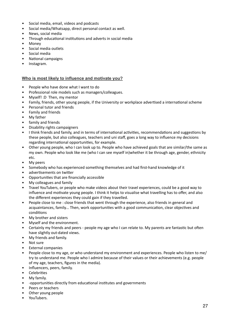- Social media, email, videos and podcasts
- Social media/Whatsapp, direct personal contact as well.
- News, social media
- Through educational institutions and adverts in social media
- Money
- Social media outlets
- Social media
- National campaigns
- Instagram.

#### **Who is most likely to influence and motivate you?**

- People who have done what I want to do
- Professional role models such as managers/colleagues.
- Myself! :D Then, my mentor
- Family, friends, other young people, if the University or workplace advertised a international scheme
- Personal tutor and friends
- Family and friends
- My father
- family and friends
- Disability rights campaigners
- I think friends and family, and in terms of international activities, recommendations and suggestions by these people, but also colleagues, teachers and uni staff, goes a long way to influence my decisions regarding international opportunities, for example.
- Other young people, who I can look up to. People who have achieved goals that are similar/the same as my own. People who look like me (who I can see myself in)whether it be through age, gender, ethnicity etc.
- My peers
- Somebody who has experienced something themselves and had first-hand knowledge of it
- advertisements on twitter
- Opportunities that are financially accessible
- My colleagues and family
- Travel YouTubers, or people who make videos about their travel experiences, could be a good way to influence and motivate young people. I think it helps to visualise what travelling has to offer, and also the different experiences they could gain if they travelled.
- People close to me : close friends that went through the experience, also friends in general and acquaintances, family... Then, work opportunities with a good communication, clear objectives and conditions
- My brother and sisters
- Myself and the environment.
- Certainly my friends and peers people my age who I can relate to. My parents are fantastic but often have slightly out-dated views.
- My friends and family.
- Not sure
- External companies
- People close to my age, or who understand my environment and experiences. People who listen to me/ try to understand me. People who I admire because of their values or their achievements (e.g. people of my age, teachers, figures in the media).
- Influencers, peers, family.
- **Celebrities**
- My family.
- -opportunities directly from educational institutes and governments
- Peers or teachers
- Other young people
- YouTubers.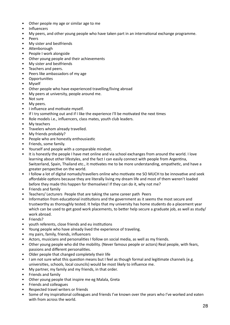- Other people my age or similar age to me
- Influencers
- My peers, and other young people who have taken part in an international exchange programme.
- Peers
- My sister and bestfriends
- Attenborough
- People I work alongside
- Other young people and their achievements
- My sister and bestfriends
- Teachers and peers.
- Peers like ambassadors of my age
- Opportunities
- Myself
- Other people who have experienced travelling/living abroad
- My peers at university, people around me.
- Not sure
- My peers.
- I influence and motivate myself.
- If I try something out and if I like the experience I'll be motivated the next times
- Role models i.e., influencers, class mates, youth club leaders.
- My teachers
- Travelers whom already travelled.
- My friends probably?
- People who are honestly enthousiastic
- Friends, some family.
- Yourself and people with a comparable mindset.
- It is honestly the people I have met online and via school exchanges from around the world. I love learning about other lifestyles, and the fact I can easily connect with people from Argentina, Switzerland, Spain, Thailand etc., it motivates me to be more understanding, empathetic, and have a greater perspective on the world.
- I follow a lot of digital nomads/travellers online who motivate me SO MUCH to be innovative and seek affordable options because they are literally living my dream life and most of them weren't loaded before they made this happen for themselves! If they can do it, why not me?
- Friends and family
- Teachers/ Lecturers People that are taking the same career path Peers
- Information from educational institutions and the government as it seems the most secure and trustworthy as thoroughly tested. It helps that my university has home students do a placement year which can be used to get good work placements, to better help secure a graduate job, as well as study/ work abroad.
- Friends?
- youth referents, close friends and eu institutions
- Young people who have already lived the experience of traveling.
- my pairs, family, friends, influencers
- Actors, musicians and personalities I follow on social media, as well as my friends.
- Other young people who did the mobility. (Never famous people or actors) Real people, with fears, passions and different personalities.
- Older people that changed completely their life
- I am not sure what this question means but I feel as though formal and legitimate channels (e.g. universities, schools, local councils) would be most likely to influence me.
- My partner, my family and my friends, in that order.
- Friends and family
- Other young people that inspire me eg Malala, Greta
- Friends and colleagues
- Respected travel writers or friends
- Some of my inspirational colleagues and friends I've known over the years who I've worked and eaten with from across the world.